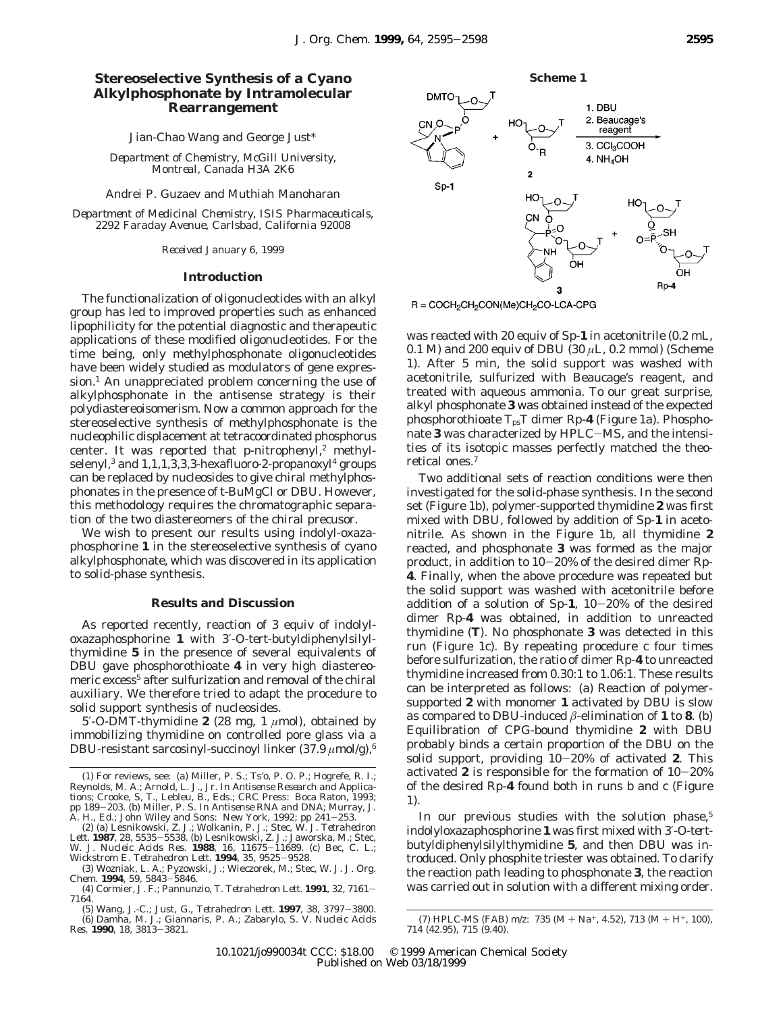## **Stereoselective Synthesis of a Cyano Alkylphosphonate by Intramolecular Rearrangement**

Jian-Chao Wang and George Just\*

*Department of Chemistry, McGill University, Montreal, Canada H3A 2K6*

Andrei P. Guzaev and Muthiah Manoharan

*Department of Medicinal Chemistry, ISIS Pharmaceuticals, 2292 Faraday Avenue, Carlsbad, California 92008*

*Received January 6, 1999*

## **Introduction**

The functionalization of oligonucleotides with an alkyl group has led to improved properties such as enhanced lipophilicity for the potential diagnostic and therapeutic applications of these modified oligonucleotides. For the time being, only methylphosphonate oligonucleotides have been widely studied as modulators of gene expression.1 An unappreciated problem concerning the use of alkylphosphonate in the antisense strategy is their polydiastereoisomerism. Now a common approach for the stereoselective synthesis of methylphosphonate is the nucleophilic displacement at tetracoordinated phosphorus center. It was reported that  $p$ -nitrophenyl,<sup>2</sup> methylselenyl,<sup>3</sup> and 1,1,1,3,3,3-hexafluoro-2-propanoxyl<sup>4</sup> groups can be replaced by nucleosides to give chiral methylphosphonates in the presence of *t*-BuMgCl or DBU. However, this methodology requires the chromatographic separation of the two diastereomers of the chiral precusor.

We wish to present our results using indolyl-oxazaphosphorine **1** in the stereoselective synthesis of cyano alkylphosphonate, which was discovered in its application to solid-phase synthesis.

## **Results and Discussion**

As reported recently, reaction of 3 equiv of indolyloxazaphosphorine **1** with 3′-*O*-*tert-*butyldiphenylsilylthymidine **5** in the presence of several equivalents of DBU gave phosphorothioate **4** in very high diastereomeric excess<sup>5</sup> after sulfurization and removal of the chiral auxiliary. We therefore tried to adapt the procedure to solid support synthesis of nucleosides.

5'-*O*-DMT-thymidine **2** (28 mg, 1  $\mu$ mol), obtained by immobilizing thymidine on controlled pore glass via a DBU-resistant sarcosinyl-succinoyl linker (37.9 *µ*mol/g),6

**Scheme 1**



 $R = COCH<sub>2</sub>CH<sub>2</sub>CON(Me)CH<sub>2</sub>CO-LCA-CPG$ 

was reacted with 20 equiv of Sp-**1** in acetonitrile (0.2 mL, 0.1 M) and 200 equiv of DBU (30 *µ*L, 0.2 mmol) (Scheme 1). After 5 min, the solid support was washed with acetonitrile, sulfurized with Beaucage's reagent, and treated with aqueous ammonia. To our great surprise, alkyl phosphonate **3** was obtained instead of the expected phosphorothioate T<sub>ps</sub>T dimer Rp-4 (Figure 1a). Phosphonate **<sup>3</sup>** was characterized by HPLC-MS, and the intensities of its isotopic masses perfectly matched the theoretical ones.7

Two additional sets of reaction conditions were then investigated for the solid-phase synthesis. In the second set (Figure 1b), polymer-supported thymidine **2** was first mixed with DBU, followed by addition of Sp-**1** in acetonitrile. As shown in the Figure 1b, all thymidine **2** reacted, and phosphonate **3** was formed as the major product, in addition to 10-20% of the desired dimer Rp-**4**. Finally, when the above procedure was repeated but the solid support was washed with acetonitrile before addition of a solution of Sp-**1**, 10-20% of the desired dimer Rp-**4** was obtained, in addition to unreacted thymidine (**T**). No phosphonate **3** was detected in this run (Figure 1c). By repeating procedure c four times before sulfurization, the ratio of dimer Rp-**4** to unreacted thymidine increased from 0.30:1 to 1.06:1. These results can be interpreted as follows: (a) Reaction of polymersupported **2** with monomer **1** activated by DBU is slow as compared to DBU-induced  $\beta$ -elimination of **1** to **8**. (b) Equilibration of CPG-bound thymidine **2** with DBU probably binds a certain proportion of the DBU on the solid support, providing 10-20% of activated **<sup>2</sup>**. This activated **<sup>2</sup>** is responsible for the formation of 10-20% of the desired Rp-**4** found both in runs b and c (Figure 1).

In our previous studies with the solution phase,<sup>5</sup> indolyloxazaphosphorine **1** was first mixed with 3′-*O*-*tert*butyldiphenylsilylthymidine **5**, and then DBU was introduced. Only phosphite triester was obtained. To clarify the reaction path leading to phosphonate **3**, the reaction was carried out in solution with a different mixing order.

<sup>(1)</sup> For reviews, see: (a) Miller, P. S.; Ts'o, P. O. P.; Hogrefe, R. I.; Reynolds, M. A.; Arnold, L. J., Jr. In *Antisense Research and Applications*; Crooke, S, T., Lebleu, B., Eds.; CRC Press: Boca Raton, 1993; pp 189-203. (b) Miller, P. S. In *Antisense RNA and DNA*; Murray, J. A. H., Ed.; John Wiley and Sons: New York, 1992; pp 241-253. (2) (a) Lesnikowski, Z. J.; Wolkanin, P. J.; Stec, W. J. *Tetrahedron*

*Lett*. **<sup>1987</sup>**, *<sup>28</sup>*, 5535-5538. (b) Lesnikowski, Z. J.; Jaworska, M.; Stec, W. J. *Nucleic Acids Res.* **<sup>1988</sup>**, *<sup>16</sup>*, 11675-11689. (c) Bec, C. L.;

Wickstrom E. *Tetrahedron Lett*. **<sup>1994</sup>**, *<sup>35</sup>*, 9525-9528. (3) Wozniak, L. A.; Pyzowski, J.; Wieczorek, M.; Stec, W. J. *J. Org.*

*Chem.* **<sup>1994</sup>**, *<sup>59</sup>*, 5843-5846. (4) Cormier, J. F.; Pannunzio, T. *Tetrahedron Lett*. **<sup>1991</sup>**, *<sup>32</sup>*, 7161- 7164.

<sup>(5)</sup> Wang, J.-C.; Just, G., *Tetrahedron Lett.* **<sup>1997</sup>**, *<sup>38</sup>*, 3797-3800. (6) Damha, M. J.; Giannaris, P. A.; Zabarylo, S. V. *Nucleic Acids Res.* **<sup>1990</sup>**, *<sup>18</sup>*, 3813-3821.

<sup>(7)</sup> HPLC-MS (FAB) *<sup>m</sup>*/*z*: 735 (M + Na+, 4.52), 713 (M + <sup>H</sup>+, 100), 714 (42.95), 715 (9.40).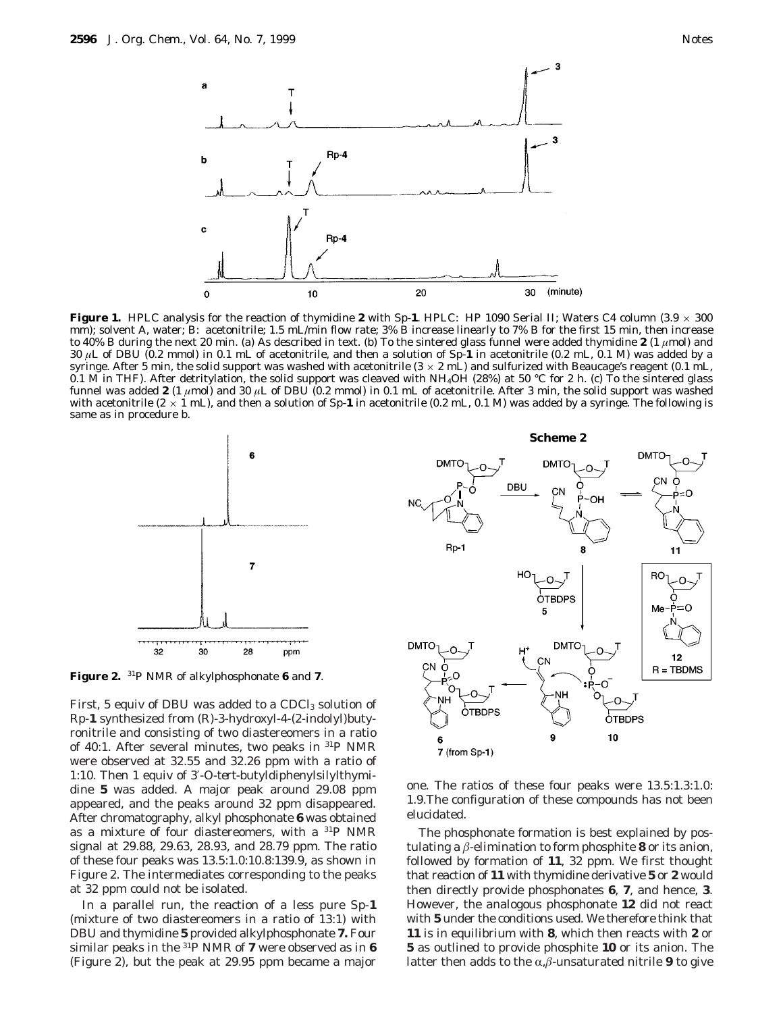

**Figure 1.** HPLC analysis for the reaction of thymidine **2** with Sp-**1**. HPLC: HP 1090 Serial II; Waters C4 column (3.9 × 300 mm); solvent A, water; B: acetonitrile; 1.5 mL/min flow rate; 3% B increase linearly to 7% B for the first 15 min, then increase to 40% B during the next 20 min. (a) As described in text. (b) To the sintered glass funnel were added thymidine **2** (1 *µ*mol) and 30 *µ*L of DBU (0.2 mmol) in 0.1 mL of acetonitrile, and then a solution of Sp-**1** in acetonitrile (0.2 mL, 0.1 M) was added by a syringe. After 5 min, the solid support was washed with acetonitrile (3  $\times$  2 mL) and sulfurized with Beaucage's reagent (0.1 mL, 0.1 M in THF). After detritylation, the solid support was cleaved with NH<sub>4</sub>OH (28%) at 50 °C for 2 h. (c) To the sintered glass funnel was added **2** (1 *µ*mol) and 30 *µ*L of DBU (0.2 mmol) in 0.1 mL of acetonitrile. After 3 min, the solid support was washed with acetonitrile  $(2 \times 1 \text{ mL})$ , and then a solution of Sp-1 in acetonitrile  $(0.2 \text{ mL}, 0.1 \text{ M})$  was added by a syringe. The following is same as in procedure b.



**Figure 2.** 31P NMR of alkylphosphonate **6** and **7**.

First, 5 equiv of DBU was added to a  $CDCl<sub>3</sub>$  solution of Rp-**1** synthesized from (*R*)-3-hydroxyl-4-(2-indolyl)butyronitrile and consisting of two diastereomers in a ratio of 40:1. After several minutes, two peaks in 31P NMR were observed at 32.55 and 32.26 ppm with a ratio of 1:10. Then 1 equiv of 3′-*O*-*tert-*butyldiphenylsilylthymidine **5** was added. A major peak around 29.08 ppm appeared, and the peaks around 32 ppm disappeared. After chromatography, alkyl phosphonate **6** was obtained as a mixture of four diastereomers, with a 31P NMR signal at 29.88, 29.63, 28.93, and 28.79 ppm. The ratio of these four peaks was 13.5:1.0:10.8:139.9, as shown in Figure 2. The intermediates corresponding to the peaks at 32 ppm could not be isolated.

In a parallel run, the reaction of a less pure Sp-**1** (mixture of two diastereomers in a ratio of 13:1) with DBU and thymidine **5** provided alkylphosphonate **7.** Four similar peaks in the 31P NMR of **7** were observed as in **6** (Figure 2), but the peak at 29.95 ppm became a major



one. The ratios of these four peaks were 13.5:1.3:1.0: 1.9.The configuration of these compounds has not been elucidated.

The phosphonate formation is best explained by postulating a  $\beta$ -elimination to form phosphite **8** or its anion, followed by formation of **11**, 32 ppm. We first thought that reaction of **11** with thymidine derivative **5** or **2** would then directly provide phosphonates **6**, **7**, and hence, **3**. However, the analogous phosphonate **12** did not react with **5** under the conditions used. We therefore think that **11** is in equilibrium with **8**, which then reacts with **2** or **5** as outlined to provide phosphite **10** or its anion. The latter then adds to the  $\alpha$ , $\beta$ -unsaturated nitrile 9 to give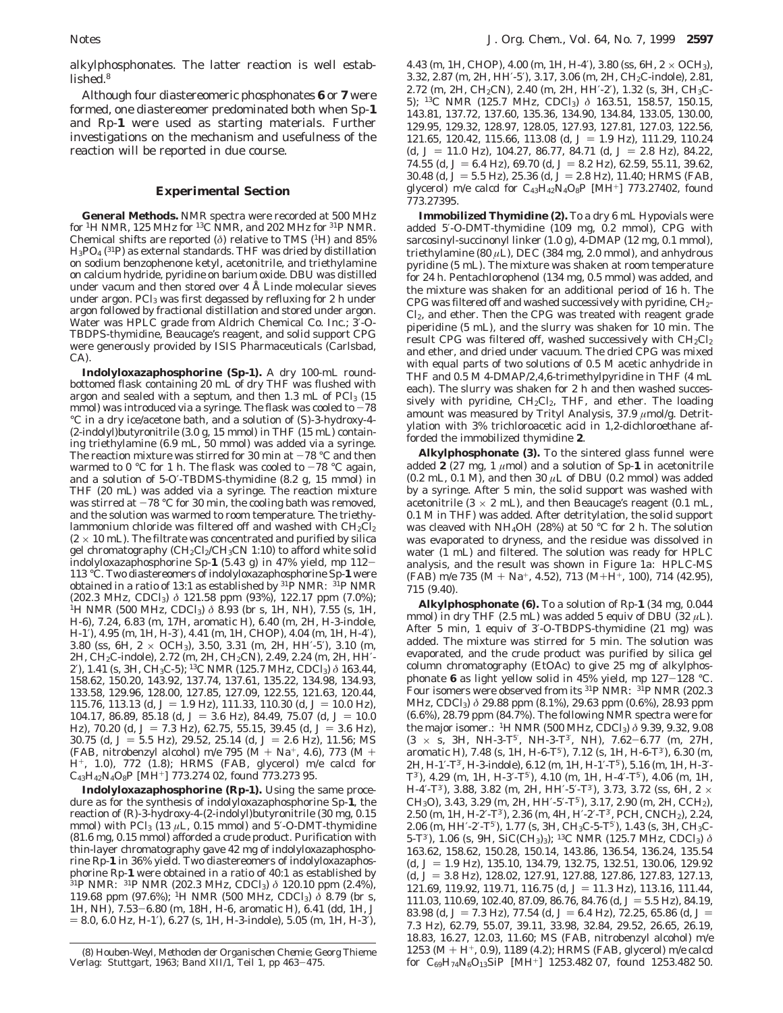alkylphosphonates. The latter reaction is well established.<sup>8</sup>

Although four diastereomeric phosphonates **6** or **7** were formed, one diastereomer predominated both when Sp-**1** and Rp-**1** were used as starting materials. Further investigations on the mechanism and usefulness of the reaction will be reported in due course.

## **Experimental Section**

**General Methods.** NMR spectra were recorded at 500 MHz for 1H NMR, 125 MHz for 13C NMR, and 202 MHz for 31P NMR. Chemical shifts are reported (*δ*) relative to TMS (1H) and 85%  $H_3PO_4$  (<sup>31</sup>P) as external standards. THF was dried by distillation on sodium benzophenone ketyl, acetonitrile, and triethylamine on calcium hydride, pyridine on barium oxide. DBU was distilled under vacum and then stored over 4 Å Linde molecular sieves under argon. PCl<sub>3</sub> was first degassed by refluxing for 2 h under argon followed by fractional distillation and stored under argon. Water was HPLC grade from Aldrich Chemical Co. Inc.; 3′-*O*-TBDPS-thymidine, Beaucage's reagent, and solid support CPG were generously provided by ISIS Pharmaceuticals (Carlsbad, CA).

**Indolyloxazaphosphorine (Sp-1).** A dry 100-mL roundbottomed flask containing 20 mL of dry THF was flushed with argon and sealed with a septum, and then  $1.3$  mL of  $\text{PCl}_3$  (15 mmol) was introduced via a syringe. The flask was cooled to  $-78$ °C in a dry ice/acetone bath, and a solution of (*S*)-3-hydroxy-4- (2-indolyl)butyronitrile (3.0 g, 15 mmol) in THF (15 mL) containing triethylamine (6.9 mL, 50 mmol) was added via a syringe. The reaction mixture was stirred for 30 min at  $-78$  °C and then warmed to 0 °C for 1 h. The flask was cooled to  $-78$  °C again, and a solution of 5-*O*′-TBDMS-thymidine (8.2 g, 15 mmol) in THF (20 mL) was added via a syringe. The reaction mixture was stirred at  $-78$  °C for 30 min, the cooling bath was removed, and the solution was warmed to room temperature. The triethylammonium chloride was filtered off and washed with  $CH_2Cl_2$  $(2 \times 10 \text{ mL})$ . The filtrate was concentrated and purified by silica gel chromatography  $\left(\frac{CH_2Cl_2/CH_3CN}{1:10}\right)$  to afford white solid indolyloxazaphosphorine Sp-**<sup>1</sup>** (5.43 g) in 47% yield, mp 112- 113 °C. Two diastereomers of indolyloxazaphosphorine Sp-**1** were obtained in a ratio of 13:1 as established by <sup>31</sup>P NMR: <sup>31</sup>P NMR (202.3 MHz, CDCl3) *δ* 121.58 ppm (93%), 122.17 ppm (7.0%); 1H NMR (500 MHz, CDCl3) *δ* 8.93 (br s, 1H, NH), 7.55 (s, 1H, H-6), 7.24, 6.83 (m, 17H, aromatic H), 6.40 (m, 2H, H-3-indole, H-1′), 4.95 (m, 1H, H-3′), 4.41 (m, 1H, CHOP), 4.04 (m, 1H, H-4′), 3.80 (ss, 6H, 2 × OCH3), 3.50, 3.31 (m, 2H, HH′-5′), 3.10 (m, 2H, CH2C-indole), 2.72 (m, 2H, CH2CN), 2.49, 2.24 (m, 2H, HH′- 2′), 1.41 (s, 3H, CH3C-5); 13C NMR (125.7 MHz, CDCl3) *δ* 163.44, 158.62, 150.20, 143.92, 137.74, 137.61, 135.22, 134.98, 134.93, 133.58, 129.96, 128.00, 127.85, 127.09, 122.55, 121.63, 120.44, 115.76, 113.13 (d,  $J = 1.9$  Hz), 111.33, 110.30 (d,  $J = 10.0$  Hz), 104.17, 86.89, 85.18 (d,  $J = 3.6$  Hz), 84.49, 75.07 (d,  $J = 10.0$ Hz), 70.20 (d,  $J = 7.3$  Hz), 62.75, 55.15, 39.45 (d,  $J = 3.6$  Hz), 30.75 (d,  $J = 5.5$  Hz), 29.52, 25.14 (d,  $J = 2.6$  Hz), 11.56; MS (FAB, nitrobenzyl alcohol) *<sup>m</sup>*/*<sup>e</sup>* 795 (M + Na+, 4.6), 773 (M <sup>+</sup> H+, 1.0), 772 (1.8); HRMS (FAB, glycerol) *m*/*e* calcd for  $C_{43}H_{42}N_4O_8P$  [MH<sup>+</sup>] 773.274 02, found 773.273 95.

**Indolyloxazaphosphorine (Rp-1).** Using the same procedure as for the synthesis of indolyloxazaphosphorine Sp-**1**, the reaction of (*R*)-3-hydroxy-4-(2-indolyl)butyronitrile (30 mg, 0.15 mmol) with  $\text{PCl}_3$  (13  $\mu$ L, 0.15 mmol) and 5'-*O*-DMT-thymidine (81.6 mg, 0.15 mmol) afforded a crude product. Purification with thin-layer chromatography gave 42 mg of indolyloxazaphosphorine Rp-**1** in 36% yield. Two diastereomers of indolyloxazaphosphorine Rp-**1** were obtained in a ratio of 40:1 as established by 31P NMR: 31P NMR (202.3 MHz, CDCl3) *δ* 120.10 ppm (2.4%), 119.68 ppm (97.6%); 1H NMR (500 MHz, CDCl3) *δ* 8.79 (br s, 1H, NH), 7.53-6.80 (m, 18H, H-6, aromatic H), 6.41 (dd, 1H, *<sup>J</sup>*  $= 8.0, 6.0$  Hz, H-1'), 6.27 (s, 1H, H-3-indole), 5.05 (m, 1H, H-3'),

4.43 (m, 1H, CHOP), 4.00 (m, 1H, H-4'), 3.80 (ss, 6H,  $2 \times OCH_3$ ), 3.32, 2.87 (m, 2H, HH′-5′), 3.17, 3.06 (m, 2H, CH2C-indole), 2.81, 2.72 (m, 2H, CH2CN), 2.40 (m, 2H, HH′-2′), 1.32 (s, 3H, CH3C-5); 13C NMR (125.7 MHz, CDCl3) *δ* 163.51, 158.57, 150.15, 143.81, 137.72, 137.60, 135.36, 134.90, 134.84, 133.05, 130.00, 129.95, 129.32, 128.97, 128.05, 127.93, 127.81, 127.03, 122.56, 121.65, 120.42, 115.66, 113.08 (d,  $J = 1.9$  Hz), 111.29, 110.24 (d,  $J = 11.0$  Hz), 104.27, 86.77, 84.71 (d,  $J = 2.8$  Hz), 84.22, 74.55 (d,  $J = 6.4$  Hz), 69.70 (d,  $J = 8.2$  Hz), 62.59, 55.11, 39.62, 30.48 (d,  $J = 5.5$  Hz), 25.36 (d,  $J = 2.8$  Hz), 11.40; HRMS (FAB, glycerol)  $m/e$  calcd for  $C_{43}H_{42}N_4O_8P$  [MH<sup>+</sup>] 773.27402, found 773.27395.

**Immobilized Thymidine (2).** To a dry 6 mL Hypovials were added 5′-*O*-DMT-thymidine (109 mg, 0.2 mmol), CPG with sarcosinyl-succinonyl linker (1.0 g), 4-DMAP (12 mg, 0.1 mmol), triethylamine (80 *µ*L), DEC (384 mg, 2.0 mmol), and anhydrous pyridine (5 mL). The mixture was shaken at room temperature for 24 h. Pentachlorophenol (134 mg, 0.5 mmol) was added, and the mixture was shaken for an additional period of 16 h. The CPG was filtered off and washed successively with pyridine,  $CH<sub>2</sub>$ -Cl<sub>2</sub>, and ether. Then the CPG was treated with reagent grade piperidine (5 mL), and the slurry was shaken for 10 min. The result CPG was filtered off, washed successively with  $CH_2Cl_2$ and ether, and dried under vacuum. The dried CPG was mixed with equal parts of two solutions of 0.5 M acetic anhydride in THF and 0.5 M 4-DMAP/2,4,6-trimethylpyridine in THF (4 mL each). The slurry was shaken for 2 h and then washed successively with pyridine,  $CH_2Cl_2$ , THF, and ether. The loading amount was measured by Trityl Analysis, 37.9 *µ*mol/g. Detritylation with 3% trichloroacetic acid in 1,2-dichloroethane afforded the immobilized thymidine **2**.

**Alkylphosphonate (3).** To the sintered glass funnel were added **2** (27 mg, 1  $\mu$ mol) and a solution of Sp-1 in acetonitrile (0.2 mL, 0.1 M), and then 30 *µ*L of DBU (0.2 mmol) was added by a syringe. After 5 min, the solid support was washed with acetonitrile  $(3 \times 2 \text{ mL})$ , and then Beaucage's reagent  $(0.1 \text{ mL})$ , 0.1 M in THF) was added. After detritylation, the solid support was cleaved with NH4OH (28%) at 50 °C for 2 h. The solution was evaporated to dryness, and the residue was dissolved in water (1 mL) and filtered. The solution was ready for HPLC analysis, and the result was shown in Figure 1a: HPLC-MS (FAB) *<sup>m</sup>*/*<sup>e</sup>* 735 (M + Na+, 4.52), 713 (M+H+, 100), 714 (42.95), 715 (9.40).

**Alkylphosphonate (6).** To a solution of Rp-**1** (34 mg, 0.044 mmol) in dry THF (2.5 mL) was added 5 equiv of DBU (32 *µ*L). After 5 min, 1 equiv of 3′-*O*-TBDPS-thymidine (21 mg) was added. The mixture was stirred for 5 min. The solution was evaporated, and the crude product was purified by silica gel column chromatography (EtOAc) to give 25 mg of alkylphosphonate **<sup>6</sup>** as light yellow solid in 45% yield, mp 127-128 °C. Four isomers were observed from its 31P NMR: 31P NMR (202.3 MHz, CDCl3) *δ* 29.88 ppm (8.1%), 29.63 ppm (0.6%), 28.93 ppm (6.6%), 28.79 ppm (84.7%). The following NMR spectra were for the major isomer.: 1H NMR (500 MHz, CDCl3) *δ* 9.39, 9.32, 9.08  $(3 \times s, 3H, NH-3\text{-}T^5, NH-3\text{-}T^3, NH, 7.62-6.77 \text{ (m, 27H, 27H, 287)}$ aromatic H), 7.48 (s, 1H, H-6-T<sup>5</sup>), 7.12 (s, 1H, H-6-T<sup>3</sup>), 6.30 (m, 2H, H-1′-T3′ , H-3-indole), 6.12 (m, 1H, H-1′-T5′ ), 5.16 (m, 1H, H-3′- T3′ ), 4.29 (m, 1H, H-3′-T5′ ), 4.10 (m, 1H, H-4′-T5′ ), 4.06 (m, 1H, H-4′-T<sup>3′</sup>), 3.88, 3.82 (m, 2H, HH′-5′-T<sup>3′</sup>), 3.73, 3.72 (ss, 6H, 2  $\times$ CH3O), 3.43, 3.29 (m, 2H, HH′-5′-T5′ ), 3.17, 2.90 (m, 2H, CCH2), 2.50 (m, 1H, H-2′-T3′ ), 2.36 (m, 4H, H′-2′-T3′ , PCH, CNCH2), 2.24, 2.06 (m, HH′-2′-T5′ ), 1.77 (s, 3H, CH3C-5-T5′ ), 1.43 (s, 3H, CH3C-5-T3′ ), 1.06 (s, 9H, SiC(CH3)3); 13C NMR (125.7 MHz, CDCl3) *δ* 163.62, 158.62, 150.28, 150.14, 143.86, 136.54, 136.24, 135.54 (d,  $J = 1.9$  Hz), 135.10, 134.79, 132.75, 132.51, 130.06, 129.92 (d, J = 3.8 Hz), 128.02, 127.91, 127.88, 127.86, 127.83, 127.13, 121.69, 119.92, 119.71, 116.75 (d,  $J = 11.3$  Hz), 113.16, 111.44, 111.03, 110.69, 102.40, 87.09, 86.76, 84.76 (d,  $J = 5.5$  Hz), 84.19, 83.98 (d,  $J = 7.3$  Hz), 77.54 (d,  $J = 6.4$  Hz), 72.25, 65.86 (d,  $J =$ 7.3 Hz), 62.79, 55.07, 39.11, 33.98, 32.84, 29.52, 26.65, 26.19, 18.83, 16.27, 12.03, 11.60; MS (FAB, nitrobenzyl alcohol) *m*/*e* 1253 (M + <sup>H</sup>+, 0.9), 1189 (4.2); HRMS (FAB, glycerol) *<sup>m</sup>*/*<sup>e</sup>* calcd for C69H74N6O13SiP [MH+] 1253.482 07, found 1253.482 50.

<sup>(8)</sup> *Houben-Weyl, Methoden der Organischen Chemie*; Georg Thieme Verlag: Stuttgart, 1963; Band XII/1, Teil 1, pp 463-475.